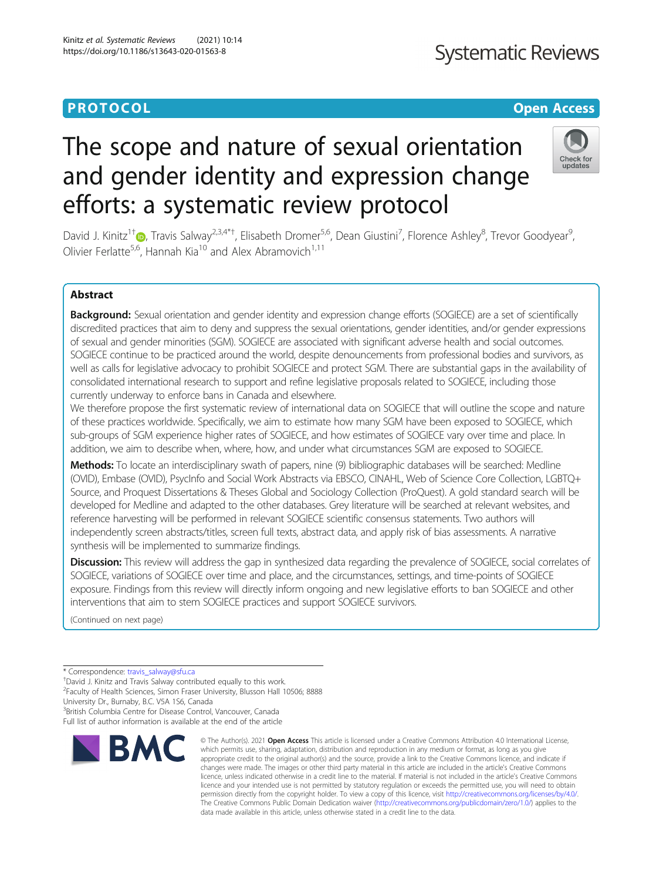# The scope and nature of sexual orientation and gender identity and expression change efforts: a systematic review protocol

David J. Kinitz<sup>1†</sup> (**b**[,](http://orcid.org/0000-0001-7812-0027) Travis Salway<sup>2,3,4\*†</sup>, Elisabeth Dromer<sup>5,6</sup>, Dean Giustini<sup>7</sup>, Florence Ashley<sup>8</sup>, Trevor Goodyear<sup>9</sup> , Olivier Ferlatte<sup>5,6</sup>, Hannah Kia<sup>10</sup> and Alex Abramovich<sup>1,11</sup>

# Abstract

Background: Sexual orientation and gender identity and expression change efforts (SOGIECE) are a set of scientifically discredited practices that aim to deny and suppress the sexual orientations, gender identities, and/or gender expressions of sexual and gender minorities (SGM). SOGIECE are associated with significant adverse health and social outcomes. SOGIECE continue to be practiced around the world, despite denouncements from professional bodies and survivors, as well as calls for legislative advocacy to prohibit SOGIECE and protect SGM. There are substantial gaps in the availability of consolidated international research to support and refine legislative proposals related to SOGIECE, including those currently underway to enforce bans in Canada and elsewhere.

We therefore propose the first systematic review of international data on SOGIECE that will outline the scope and nature of these practices worldwide. Specifically, we aim to estimate how many SGM have been exposed to SOGIECE, which sub-groups of SGM experience higher rates of SOGIECE, and how estimates of SOGIECE vary over time and place. In addition, we aim to describe when, where, how, and under what circumstances SGM are exposed to SOGIECE.

Methods: To locate an interdisciplinary swath of papers, nine (9) bibliographic databases will be searched: Medline (OVID), Embase (OVID), PsycInfo and Social Work Abstracts via EBSCO, CINAHL, Web of Science Core Collection, LGBTQ+ Source, and Proquest Dissertations & Theses Global and Sociology Collection (ProQuest). A gold standard search will be developed for Medline and adapted to the other databases. Grey literature will be searched at relevant websites, and reference harvesting will be performed in relevant SOGIECE scientific consensus statements. Two authors will independently screen abstracts/titles, screen full texts, abstract data, and apply risk of bias assessments. A narrative synthesis will be implemented to summarize findings.

Discussion: This review will address the gap in synthesized data regarding the prevalence of SOGIECE, social correlates of SOGIECE, variations of SOGIECE over time and place, and the circumstances, settings, and time-points of SOGIECE exposure. Findings from this review will directly inform ongoing and new legislative efforts to ban SOGIECE and other interventions that aim to stem SOGIECE practices and support SOGIECE survivors.

(Continued on next page)

3 British Columbia Centre for Disease Control, Vancouver, Canada Full list of author information is available at the end of the article



<sup>©</sup> The Author(s), 2021 **Open Access** This article is licensed under a Creative Commons Attribution 4.0 International License, which permits use, sharing, adaptation, distribution and reproduction in any medium or format, as long as you give appropriate credit to the original author(s) and the source, provide a link to the Creative Commons licence, and indicate if changes were made. The images or other third party material in this article are included in the article's Creative Commons licence, unless indicated otherwise in a credit line to the material. If material is not included in the article's Creative Commons licence and your intended use is not permitted by statutory regulation or exceeds the permitted use, you will need to obtain permission directly from the copyright holder. To view a copy of this licence, visit [http://creativecommons.org/licenses/by/4.0/.](http://creativecommons.org/licenses/by/4.0/) The Creative Commons Public Domain Dedication waiver [\(http://creativecommons.org/publicdomain/zero/1.0/](http://creativecommons.org/publicdomain/zero/1.0/)) applies to the data made available in this article, unless otherwise stated in a credit line to the data.



# **PROTOCOL CONSUMING THE CONSUMING TEACHER CONSUMING THE CONSUMING TEACHER CONSUMING THE CONSUMING TEACHER CONSUMING THE CONSUMING TEACHER CONSUMING THE CONSUMING TEACHER CONSUMING THE CONSUMING TEACHER CONSUMING THE CONS**

<sup>\*</sup> Correspondence: [travis\\_salway@sfu.ca](mailto:travis_salway@sfu.ca) †

David J. Kinitz and Travis Salway contributed equally to this work.

<sup>&</sup>lt;sup>2</sup> Faculty of Health Sciences, Simon Fraser University, Blusson Hall 10506; 8888

University Dr., Burnaby, B.C. V5A 1S6, Canada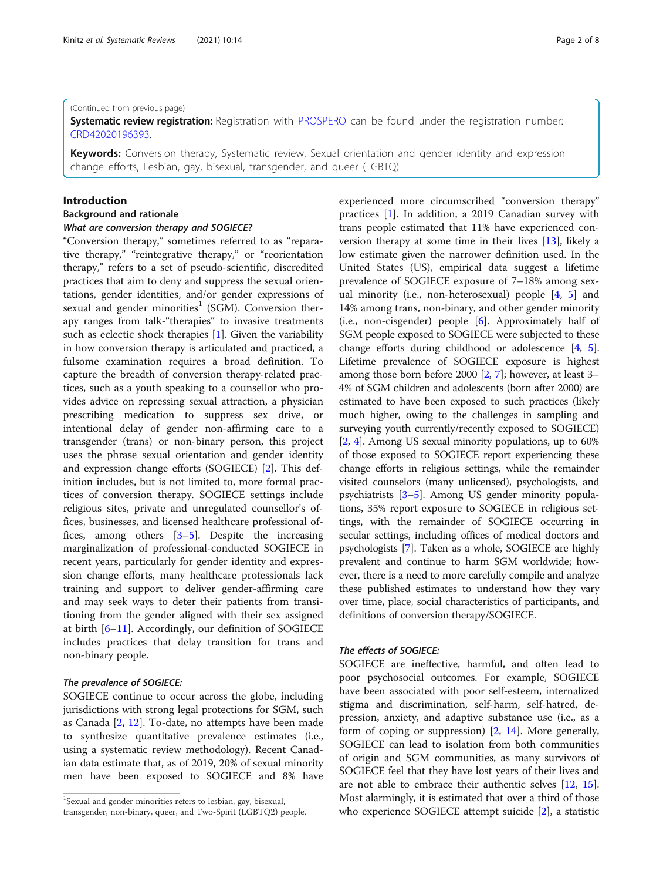#### (Continued from previous page)

Systematic review registration: Registration with [PROSPERO](https://www.crd.york.ac.uk/prospero/display_record.php?RecordID=196393) can be found under the registration number: [CRD42020196393](https://www.crd.york.ac.uk/prospero/display_record.php?RecordID=196393).

Keywords: Conversion therapy, Systematic review, Sexual orientation and gender identity and expression change efforts, Lesbian, gay, bisexual, transgender, and queer (LGBTQ)

## Introduction

### Background and rationale What are conversion therapy and SOGIECE?

"Conversion therapy," sometimes referred to as "reparative therapy," "reintegrative therapy," or "reorientation therapy," refers to a set of pseudo-scientific, discredited practices that aim to deny and suppress the sexual orientations, gender identities, and/or gender expressions of sexual and gender minorities<sup>1</sup> (SGM). Conversion therapy ranges from talk-"therapies" to invasive treatments such as eclectic shock therapies [[1\]](#page-6-0). Given the variability in how conversion therapy is articulated and practiced, a fulsome examination requires a broad definition. To capture the breadth of conversion therapy-related practices, such as a youth speaking to a counsellor who provides advice on repressing sexual attraction, a physician prescribing medication to suppress sex drive, or intentional delay of gender non-affirming care to a transgender (trans) or non-binary person, this project uses the phrase sexual orientation and gender identity and expression change efforts (SOGIECE) [[2](#page-6-0)]. This definition includes, but is not limited to, more formal practices of conversion therapy. SOGIECE settings include religious sites, private and unregulated counsellor's offices, businesses, and licensed healthcare professional offices, among others [[3](#page-6-0)–[5\]](#page-6-0). Despite the increasing marginalization of professional-conducted SOGIECE in recent years, particularly for gender identity and expression change efforts, many healthcare professionals lack training and support to deliver gender-affirming care and may seek ways to deter their patients from transitioning from the gender aligned with their sex assigned at birth [[6](#page-6-0)–[11\]](#page-6-0). Accordingly, our definition of SOGIECE includes practices that delay transition for trans and non-binary people.

#### The prevalence of SOGIECE:

SOGIECE continue to occur across the globe, including jurisdictions with strong legal protections for SGM, such as Canada [[2,](#page-6-0) [12](#page-6-0)]. To-date, no attempts have been made to synthesize quantitative prevalence estimates (i.e., using a systematic review methodology). Recent Canadian data estimate that, as of 2019, 20% of sexual minority men have been exposed to SOGIECE and 8% have experienced more circumscribed "conversion therapy" practices [\[1\]](#page-6-0). In addition, a 2019 Canadian survey with trans people estimated that 11% have experienced conversion therapy at some time in their lives [\[13\]](#page-6-0), likely a low estimate given the narrower definition used. In the United States (US), empirical data suggest a lifetime prevalence of SOGIECE exposure of 7–18% among sexual minority (i.e., non-heterosexual) people [\[4](#page-6-0), [5](#page-6-0)] and 14% among trans, non-binary, and other gender minority (i.e., non-cisgender) people [[6\]](#page-6-0). Approximately half of SGM people exposed to SOGIECE were subjected to these change efforts during childhood or adolescence [\[4](#page-6-0), [5](#page-6-0)]. Lifetime prevalence of SOGIECE exposure is highest among those born before 2000 [[2,](#page-6-0) [7\]](#page-6-0); however, at least 3– 4% of SGM children and adolescents (born after 2000) are estimated to have been exposed to such practices (likely much higher, owing to the challenges in sampling and surveying youth currently/recently exposed to SOGIECE) [[2,](#page-6-0) [4\]](#page-6-0). Among US sexual minority populations, up to 60% of those exposed to SOGIECE report experiencing these change efforts in religious settings, while the remainder visited counselors (many unlicensed), psychologists, and psychiatrists [\[3](#page-6-0)–[5\]](#page-6-0). Among US gender minority populations, 35% report exposure to SOGIECE in religious settings, with the remainder of SOGIECE occurring in secular settings, including offices of medical doctors and psychologists [\[7\]](#page-6-0). Taken as a whole, SOGIECE are highly prevalent and continue to harm SGM worldwide; however, there is a need to more carefully compile and analyze these published estimates to understand how they vary over time, place, social characteristics of participants, and definitions of conversion therapy/SOGIECE.

### The effects of SOGIECE:

SOGIECE are ineffective, harmful, and often lead to poor psychosocial outcomes. For example, SOGIECE have been associated with poor self-esteem, internalized stigma and discrimination, self-harm, self-hatred, depression, anxiety, and adaptive substance use (i.e., as a form of coping or suppression) [\[2](#page-6-0), [14](#page-6-0)]. More generally, SOGIECE can lead to isolation from both communities of origin and SGM communities, as many survivors of SOGIECE feel that they have lost years of their lives and are not able to embrace their authentic selves [\[12](#page-6-0), [15](#page-6-0)]. Most alarmingly, it is estimated that over a third of those who experience SOGIECE attempt suicide [\[2](#page-6-0)], a statistic

<sup>&</sup>lt;sup>1</sup>Sexual and gender minorities refers to lesbian, gay, bisexual, transgender, non-binary, queer, and Two-Spirit (LGBTQ2) people.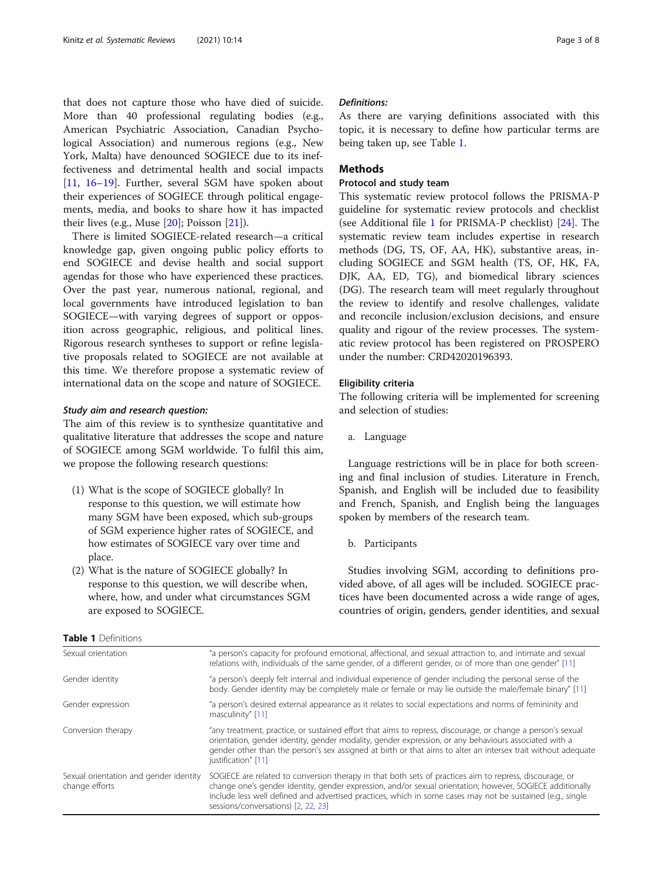that does not capture those who have died of suicide. More than 40 professional regulating bodies (e.g., American Psychiatric Association, Canadian Psychological Association) and numerous regions (e.g., New York, Malta) have denounced SOGIECE due to its ineffectiveness and detrimental health and social impacts [[11,](#page-6-0) [16](#page-6-0)–[19](#page-6-0)]. Further, several SGM have spoken about their experiences of SOGIECE through political engagements, media, and books to share how it has impacted their lives (e.g., Muse  $[20]$  $[20]$ ; Poisson  $[21]$  $[21]$ ).

There is limited SOGIECE-related research—a critical knowledge gap, given ongoing public policy efforts to end SOGIECE and devise health and social support agendas for those who have experienced these practices. Over the past year, numerous national, regional, and local governments have introduced legislation to ban SOGIECE—with varying degrees of support or opposition across geographic, religious, and political lines. Rigorous research syntheses to support or refine legislative proposals related to SOGIECE are not available at this time. We therefore propose a systematic review of international data on the scope and nature of SOGIECE.

#### Study aim and research question:

The aim of this review is to synthesize quantitative and qualitative literature that addresses the scope and nature of SOGIECE among SGM worldwide. To fulfil this aim, we propose the following research questions:

- (1) What is the scope of SOGIECE globally? In response to this question, we will estimate how many SGM have been exposed, which sub-groups of SGM experience higher rates of SOGIECE, and how estimates of SOGIECE vary over time and place.
- (2) What is the nature of SOGIECE globally? In response to this question, we will describe when, where, how, and under what circumstances SGM are exposed to SOGIECE.

#### Definitions:

As there are varying definitions associated with this topic, it is necessary to define how particular terms are being taken up, see Table 1.

# **Methods**

## Protocol and study team

This systematic review protocol follows the PRISMA-P guideline for systematic review protocols and checklist (see Additional file [1](#page-6-0) for PRISMA-P checklist) [[24\]](#page-7-0). The systematic review team includes expertise in research methods (DG, TS, OF, AA, HK), substantive areas, including SOGIECE and SGM health (TS, OF, HK, FA, DJK, AA, ED, TG), and biomedical library sciences (DG). The research team will meet regularly throughout the review to identify and resolve challenges, validate and reconcile inclusion/exclusion decisions, and ensure quality and rigour of the review processes. The systematic review protocol has been registered on PROSPERO under the number: CRD42020196393.

#### Eligibility criteria

The following criteria will be implemented for screening and selection of studies:

a. Language

Language restrictions will be in place for both screening and final inclusion of studies. Literature in French, Spanish, and English will be included due to feasibility and French, Spanish, and English being the languages spoken by members of the research team.

b. Participants

Studies involving SGM, according to definitions provided above, of all ages will be included. SOGIECE practices have been documented across a wide range of ages, countries of origin, genders, gender identities, and sexual

| Sexual orientation                                       | "a person's capacity for profound emotional, affectional, and sexual attraction to, and intimate and sexual<br>relations with, individuals of the same gender, of a different gender, or of more than one gender" [11]                                                                                                                                                    |  |
|----------------------------------------------------------|---------------------------------------------------------------------------------------------------------------------------------------------------------------------------------------------------------------------------------------------------------------------------------------------------------------------------------------------------------------------------|--|
| Gender identity                                          | "a person's deeply felt internal and individual experience of gender including the personal sense of the<br>body. Gender identity may be completely male or female or may lie outside the male/female binary" [11]                                                                                                                                                        |  |
| Gender expression                                        | "a person's desired external appearance as it relates to social expectations and norms of femininity and<br>masculinity" [11]                                                                                                                                                                                                                                             |  |
| Conversion therapy                                       | "any treatment, practice, or sustained effort that aims to repress, discourage, or change a person's sexual<br>orientation, gender identity, gender modality, gender expression, or any behaviours associated with a<br>gender other than the person's sex assigned at birth or that aims to alter an intersex trait without adequate<br>justification" [11]              |  |
| Sexual orientation and gender identity<br>change efforts | SOGIECE are related to conversion therapy in that both sets of practices aim to repress, discourage, or<br>change one's gender identity, gender expression, and/or sexual orientation; however, SOGIECE additionally<br>include less well defined and advertised practices, which in some cases may not be sustained (e.g., single<br>sessions/conversations) [2, 22, 23] |  |

# Table 1 Definitions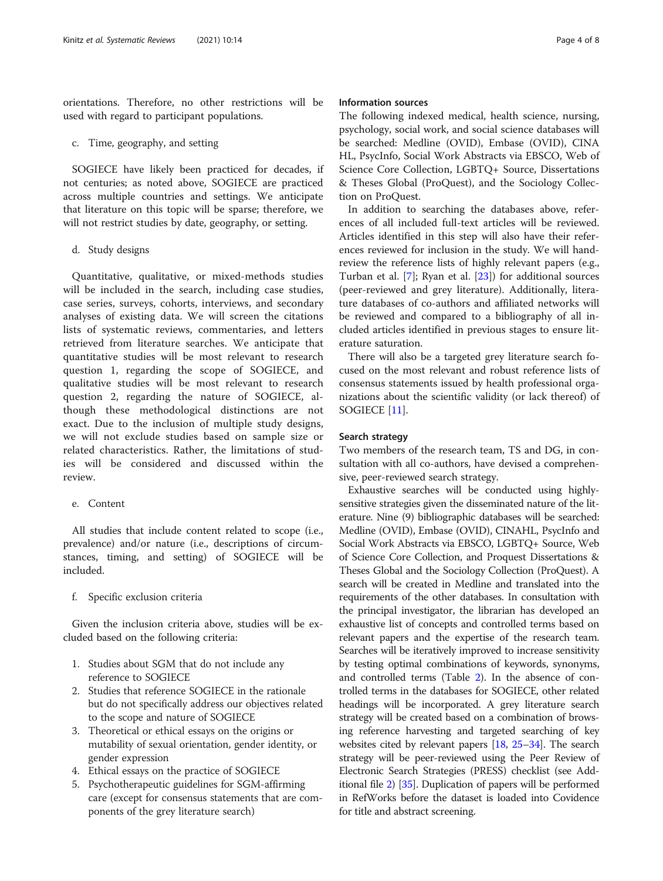orientations. Therefore, no other restrictions will be used with regard to participant populations.

c. Time, geography, and setting

SOGIECE have likely been practiced for decades, if not centuries; as noted above, SOGIECE are practiced across multiple countries and settings. We anticipate that literature on this topic will be sparse; therefore, we will not restrict studies by date, geography, or setting.

d. Study designs

Quantitative, qualitative, or mixed-methods studies will be included in the search, including case studies, case series, surveys, cohorts, interviews, and secondary analyses of existing data. We will screen the citations lists of systematic reviews, commentaries, and letters retrieved from literature searches. We anticipate that quantitative studies will be most relevant to research question 1, regarding the scope of SOGIECE, and qualitative studies will be most relevant to research question 2, regarding the nature of SOGIECE, although these methodological distinctions are not exact. Due to the inclusion of multiple study designs, we will not exclude studies based on sample size or related characteristics. Rather, the limitations of studies will be considered and discussed within the review.

# e. Content

All studies that include content related to scope (i.e., prevalence) and/or nature (i.e., descriptions of circumstances, timing, and setting) of SOGIECE will be included.

f. Specific exclusion criteria

Given the inclusion criteria above, studies will be excluded based on the following criteria:

- 1. Studies about SGM that do not include any reference to SOGIECE
- 2. Studies that reference SOGIECE in the rationale but do not specifically address our objectives related to the scope and nature of SOGIECE
- 3. Theoretical or ethical essays on the origins or mutability of sexual orientation, gender identity, or gender expression
- 4. Ethical essays on the practice of SOGIECE
- 5. Psychotherapeutic guidelines for SGM-affirming care (except for consensus statements that are components of the grey literature search)

#### Information sources

The following indexed medical, health science, nursing, psychology, social work, and social science databases will be searched: Medline (OVID), Embase (OVID), CINA HL, PsycInfo, Social Work Abstracts via EBSCO, Web of Science Core Collection, LGBTQ+ Source, Dissertations & Theses Global (ProQuest), and the Sociology Collection on ProQuest.

In addition to searching the databases above, references of all included full-text articles will be reviewed. Articles identified in this step will also have their references reviewed for inclusion in the study. We will handreview the reference lists of highly relevant papers (e.g., Turban et al. [\[7](#page-6-0)]; Ryan et al. [\[23](#page-7-0)]) for additional sources (peer-reviewed and grey literature). Additionally, literature databases of co-authors and affiliated networks will be reviewed and compared to a bibliography of all included articles identified in previous stages to ensure literature saturation.

There will also be a targeted grey literature search focused on the most relevant and robust reference lists of consensus statements issued by health professional organizations about the scientific validity (or lack thereof) of SOGIECE [[11\]](#page-6-0).

#### Search strategy

Two members of the research team, TS and DG, in consultation with all co-authors, have devised a comprehensive, peer-reviewed search strategy.

Exhaustive searches will be conducted using highlysensitive strategies given the disseminated nature of the literature. Nine (9) bibliographic databases will be searched: Medline (OVID), Embase (OVID), CINAHL, PsycInfo and Social Work Abstracts via EBSCO, LGBTQ+ Source, Web of Science Core Collection, and Proquest Dissertations & Theses Global and the Sociology Collection (ProQuest). A search will be created in Medline and translated into the requirements of the other databases. In consultation with the principal investigator, the librarian has developed an exhaustive list of concepts and controlled terms based on relevant papers and the expertise of the research team. Searches will be iteratively improved to increase sensitivity by testing optimal combinations of keywords, synonyms, and controlled terms (Table [2\)](#page-4-0). In the absence of controlled terms in the databases for SOGIECE, other related headings will be incorporated. A grey literature search strategy will be created based on a combination of browsing reference harvesting and targeted searching of key websites cited by relevant papers [[18](#page-6-0), [25](#page-7-0)–[34](#page-7-0)]. The search strategy will be peer-reviewed using the Peer Review of Electronic Search Strategies (PRESS) checklist (see Additional file [2](#page-6-0)) [\[35\]](#page-7-0). Duplication of papers will be performed in RefWorks before the dataset is loaded into Covidence for title and abstract screening.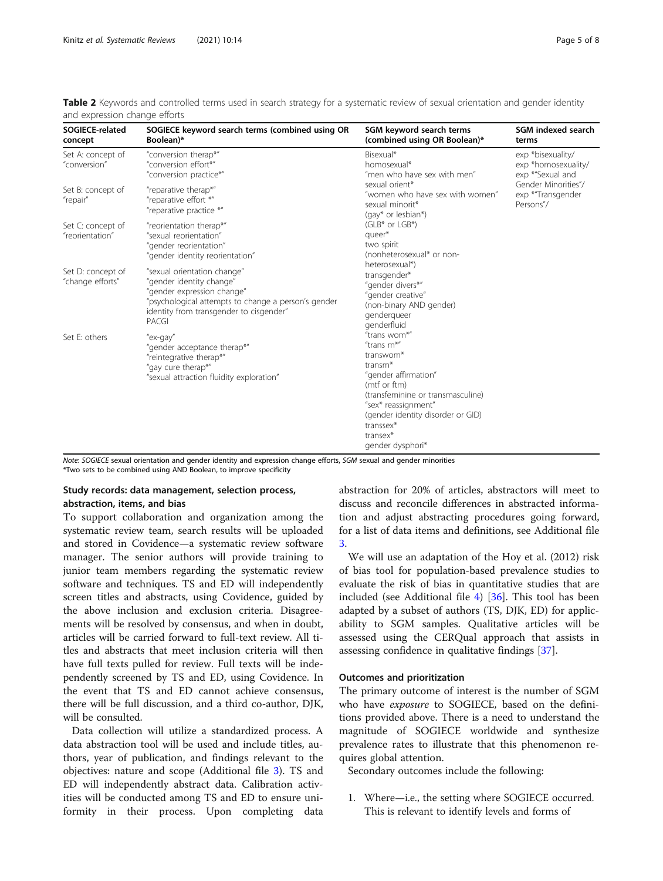| SOGIECE-related<br>concept            | SOGIECE keyword search terms (combined using OR<br>Boolean)*                                                                                                                                     | SGM keyword search terms<br>(combined using OR Boolean)*                                                                                                                                                                                                 | SGM indexed search<br>terms                                                                                           |
|---------------------------------------|--------------------------------------------------------------------------------------------------------------------------------------------------------------------------------------------------|----------------------------------------------------------------------------------------------------------------------------------------------------------------------------------------------------------------------------------------------------------|-----------------------------------------------------------------------------------------------------------------------|
| Set A: concept of<br>"conversion"     | "conversion therap*"<br>"conversion effort*"<br>"conversion practice*"                                                                                                                           | Bisexual*<br>homosexual*<br>"men who have sex with men"<br>sexual orient*<br>"women who have sex with women"<br>sexual minorit*<br>(gay* or lesbian*)                                                                                                    | exp *bisexuality/<br>exp *homosexuality/<br>exp *"Sexual and<br>Gender Minorities"/<br>exp *"Transgender<br>Persons"/ |
| Set B: concept of<br>"repair"         | "reparative therap*"<br>"reparative effort *"<br>"reparative practice *"                                                                                                                         |                                                                                                                                                                                                                                                          |                                                                                                                       |
| Set C: concept of<br>"reorientation"  | "reorientation therap*"<br>"sexual reorientation"<br>"gender reorientation"<br>"gender identity reorientation"                                                                                   | $(GLB* or LGB*)$<br>queer*<br>two spirit<br>(nonheterosexual* or non-                                                                                                                                                                                    |                                                                                                                       |
| Set D: concept of<br>"change efforts" | "sexual orientation change"<br>"gender identity change"<br>"gender expression change"<br>"psychological attempts to change a person's gender<br>identity from transgender to cisgender"<br>PACGI | heterosexual*)<br>transgender*<br>"gender divers*"<br>"gender creative"<br>(non-binary AND gender)<br>gendergueer<br>genderfluid                                                                                                                         |                                                                                                                       |
| Set E: others                         | "ex-gay"<br>"gender acceptance therap*"<br>"reintegrative therap*"<br>"gay cure therap*"<br>"sexual attraction fluidity exploration"                                                             | "trans wom*"<br>"trans $m^*$ "<br>transwom*<br>transm <sup>*</sup><br>"gender affirmation"<br>(mtf or ftm)<br>(transfeminine or transmasculine)<br>"sex* reassignment"<br>(gender identity disorder or GID)<br>transsex*<br>transex*<br>gender dysphori* |                                                                                                                       |

<span id="page-4-0"></span>Table 2 Keywords and controlled terms used in search strategy for a systematic review of sexual orientation and gender identity and expression change efforts

Note: SOGIECE sexual orientation and gender identity and expression change efforts, SGM sexual and gender minorities \*Two sets to be combined using AND Boolean, to improve specificity

# Study records: data management, selection process, abstraction, items, and bias

To support collaboration and organization among the systematic review team, search results will be uploaded and stored in Covidence—a systematic review software manager. The senior authors will provide training to junior team members regarding the systematic review software and techniques. TS and ED will independently screen titles and abstracts, using Covidence, guided by the above inclusion and exclusion criteria. Disagreements will be resolved by consensus, and when in doubt, articles will be carried forward to full-text review. All titles and abstracts that meet inclusion criteria will then have full texts pulled for review. Full texts will be independently screened by TS and ED, using Covidence. In the event that TS and ED cannot achieve consensus, there will be full discussion, and a third co-author, DJK, will be consulted.

Data collection will utilize a standardized process. A data abstraction tool will be used and include titles, authors, year of publication, and findings relevant to the objectives: nature and scope (Additional file [3\)](#page-6-0). TS and ED will independently abstract data. Calibration activities will be conducted among TS and ED to ensure uniformity in their process. Upon completing data abstraction for 20% of articles, abstractors will meet to discuss and reconcile differences in abstracted information and adjust abstracting procedures going forward, for a list of data items and definitions, see Additional file [3.](#page-6-0)

We will use an adaptation of the Hoy et al. (2012) risk of bias tool for population-based prevalence studies to evaluate the risk of bias in quantitative studies that are included (see Additional file [4](#page-6-0)) [\[36](#page-7-0)]. This tool has been adapted by a subset of authors (TS, DJK, ED) for applicability to SGM samples. Qualitative articles will be assessed using the CERQual approach that assists in assessing confidence in qualitative findings [\[37\]](#page-7-0).

#### Outcomes and prioritization

The primary outcome of interest is the number of SGM who have exposure to SOGIECE, based on the definitions provided above. There is a need to understand the magnitude of SOGIECE worldwide and synthesize prevalence rates to illustrate that this phenomenon requires global attention.

Secondary outcomes include the following:

1. Where—i.e., the setting where SOGIECE occurred. This is relevant to identify levels and forms of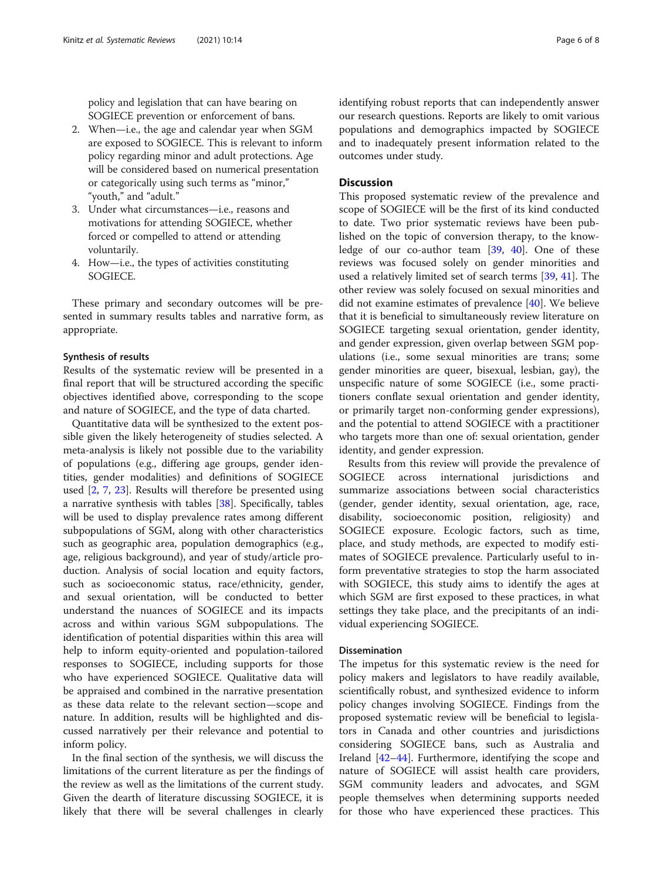policy and legislation that can have bearing on SOGIECE prevention or enforcement of bans.

- 2. When—i.e., the age and calendar year when SGM are exposed to SOGIECE. This is relevant to inform policy regarding minor and adult protections. Age will be considered based on numerical presentation or categorically using such terms as "minor," "youth," and "adult."
- 3. Under what circumstances—i.e., reasons and motivations for attending SOGIECE, whether forced or compelled to attend or attending voluntarily.
- 4. How—i.e., the types of activities constituting SOGIECE.

These primary and secondary outcomes will be presented in summary results tables and narrative form, as appropriate.

#### Synthesis of results

Results of the systematic review will be presented in a final report that will be structured according the specific objectives identified above, corresponding to the scope and nature of SOGIECE, and the type of data charted.

Quantitative data will be synthesized to the extent possible given the likely heterogeneity of studies selected. A meta-analysis is likely not possible due to the variability of populations (e.g., differing age groups, gender identities, gender modalities) and definitions of SOGIECE used [\[2,](#page-6-0) [7](#page-6-0), [23\]](#page-7-0). Results will therefore be presented using a narrative synthesis with tables [\[38\]](#page-7-0). Specifically, tables will be used to display prevalence rates among different subpopulations of SGM, along with other characteristics such as geographic area, population demographics (e.g., age, religious background), and year of study/article production. Analysis of social location and equity factors, such as socioeconomic status, race/ethnicity, gender, and sexual orientation, will be conducted to better understand the nuances of SOGIECE and its impacts across and within various SGM subpopulations. The identification of potential disparities within this area will help to inform equity-oriented and population-tailored responses to SOGIECE, including supports for those who have experienced SOGIECE. Qualitative data will be appraised and combined in the narrative presentation as these data relate to the relevant section—scope and nature. In addition, results will be highlighted and discussed narratively per their relevance and potential to inform policy.

In the final section of the synthesis, we will discuss the limitations of the current literature as per the findings of the review as well as the limitations of the current study. Given the dearth of literature discussing SOGIECE, it is likely that there will be several challenges in clearly identifying robust reports that can independently answer our research questions. Reports are likely to omit various populations and demographics impacted by SOGIECE and to inadequately present information related to the outcomes under study.

#### **Discussion**

This proposed systematic review of the prevalence and scope of SOGIECE will be the first of its kind conducted to date. Two prior systematic reviews have been published on the topic of conversion therapy, to the knowledge of our co-author team [\[39,](#page-7-0) [40\]](#page-7-0). One of these reviews was focused solely on gender minorities and used a relatively limited set of search terms [\[39,](#page-7-0) [41\]](#page-7-0). The other review was solely focused on sexual minorities and did not examine estimates of prevalence [\[40](#page-7-0)]. We believe that it is beneficial to simultaneously review literature on SOGIECE targeting sexual orientation, gender identity, and gender expression, given overlap between SGM populations (i.e., some sexual minorities are trans; some gender minorities are queer, bisexual, lesbian, gay), the unspecific nature of some SOGIECE (i.e., some practitioners conflate sexual orientation and gender identity, or primarily target non-conforming gender expressions), and the potential to attend SOGIECE with a practitioner who targets more than one of: sexual orientation, gender identity, and gender expression.

Results from this review will provide the prevalence of SOGIECE across international jurisdictions and summarize associations between social characteristics (gender, gender identity, sexual orientation, age, race, disability, socioeconomic position, religiosity) and SOGIECE exposure. Ecologic factors, such as time, place, and study methods, are expected to modify estimates of SOGIECE prevalence. Particularly useful to inform preventative strategies to stop the harm associated with SOGIECE, this study aims to identify the ages at which SGM are first exposed to these practices, in what settings they take place, and the precipitants of an individual experiencing SOGIECE.

#### Dissemination

The impetus for this systematic review is the need for policy makers and legislators to have readily available, scientifically robust, and synthesized evidence to inform policy changes involving SOGIECE. Findings from the proposed systematic review will be beneficial to legislators in Canada and other countries and jurisdictions considering SOGIECE bans, such as Australia and Ireland [[42](#page-7-0)–[44](#page-7-0)]. Furthermore, identifying the scope and nature of SOGIECE will assist health care providers, SGM community leaders and advocates, and SGM people themselves when determining supports needed for those who have experienced these practices. This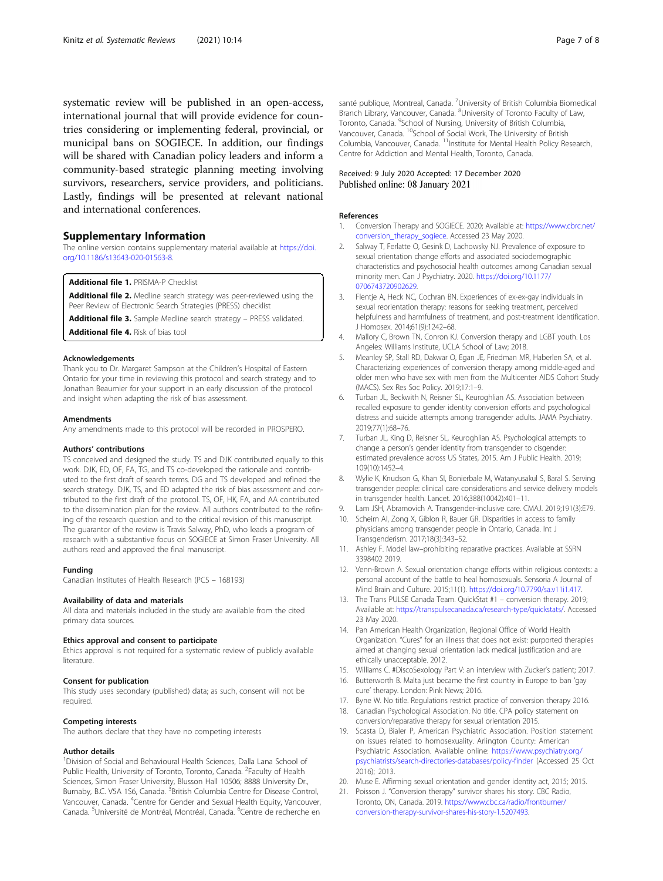<span id="page-6-0"></span>systematic review will be published in an open-access, international journal that will provide evidence for countries considering or implementing federal, provincial, or municipal bans on SOGIECE. In addition, our findings will be shared with Canadian policy leaders and inform a community-based strategic planning meeting involving survivors, researchers, service providers, and politicians. Lastly, findings will be presented at relevant national and international conferences.

#### Supplementary Information

The online version contains supplementary material available at [https://doi.](https://doi.org/10.1186/s13643-020-01563-8) [org/10.1186/s13643-020-01563-8.](https://doi.org/10.1186/s13643-020-01563-8)

Additional file 1. PRISMA-P Checklist

Additional file 2. Medline search strategy was peer-reviewed using the Peer Review of Electronic Search Strategies (PRESS) checklist

Additional file 3. Sample Medline search strategy - PRESS validated.

Additional file 4. Risk of bias tool

#### Acknowledgements

Thank you to Dr. Margaret Sampson at the Children's Hospital of Eastern Ontario for your time in reviewing this protocol and search strategy and to Jonathan Beaumier for your support in an early discussion of the protocol and insight when adapting the risk of bias assessment.

#### Amendments

Any amendments made to this protocol will be recorded in PROSPERO.

#### Authors' contributions

TS conceived and designed the study. TS and DJK contributed equally to this work. DJK, ED, OF, FA, TG, and TS co-developed the rationale and contributed to the first draft of search terms. DG and TS developed and refined the search strategy. DJK, TS, and ED adapted the risk of bias assessment and contributed to the first draft of the protocol. TS, OF, HK, FA, and AA contributed to the dissemination plan for the review. All authors contributed to the refining of the research question and to the critical revision of this manuscript. The guarantor of the review is Travis Salway, PhD, who leads a program of research with a substantive focus on SOGIECE at Simon Fraser University. All authors read and approved the final manuscript.

#### Funding

Canadian Institutes of Health Research (PCS – 168193)

#### Availability of data and materials

All data and materials included in the study are available from the cited primary data sources.

#### Ethics approval and consent to participate

Ethics approval is not required for a systematic review of publicly available literature.

#### Consent for publication

This study uses secondary (published) data; as such, consent will not be required.

#### Competing interests

The authors declare that they have no competing interests

#### Author details

<sup>1</sup>Division of Social and Behavioural Health Sciences, Dalla Lana School of Public Health, University of Toronto, Toronto, Canada. <sup>2</sup>Faculty of Health Sciences, Simon Fraser University, Blusson Hall 10506; 8888 University Dr., Burnaby, B.C. V5A 1S6, Canada. <sup>3</sup>British Columbia Centre for Disease Control, Vancouver, Canada. <sup>4</sup>Centre for Gender and Sexual Health Equity, Vancouver, Canada. <sup>5</sup>Université de Montréal, Montréal, Canada. <sup>6</sup>Centre de recherche en

santé publique, Montreal, Canada. <sup>7</sup>University of British Columbia Biomedical Branch Library, Vancouver, Canada. <sup>8</sup>University of Toronto Faculty of Law, Toronto, Canada. <sup>9</sup>School of Nursing, University of British Columbia Vancouver, Canada. <sup>10</sup>School of Social Work, The University of British Columbia, Vancouver, Canada. 11Institute for Mental Health Policy Research, Centre for Addiction and Mental Health, Toronto, Canada.

#### Received: 9 July 2020 Accepted: 17 December 2020 Published online: 08 January 2021

#### References

- 1. Conversion Therapy and SOGIECE. 2020; Available at: [https://www.cbrc.net/](https://www.cbrc.net/conversion_therapy_sogiece) [conversion\\_therapy\\_sogiece](https://www.cbrc.net/conversion_therapy_sogiece). Accessed 23 May 2020.
- 2. Salway T, Ferlatte O, Gesink D, Lachowsky NJ. Prevalence of exposure to sexual orientation change efforts and associated sociodemographic characteristics and psychosocial health outcomes among Canadian sexual minority men. Can J Psychiatry. 2020. [https://doi.org/10.1177/](https://doi.org/10.1177/0706743720902629) [0706743720902629](https://doi.org/10.1177/0706743720902629).
- 3. Flentje A, Heck NC, Cochran BN. Experiences of ex-ex-gay individuals in sexual reorientation therapy: reasons for seeking treatment, perceived helpfulness and harmfulness of treatment, and post-treatment identification. J Homosex. 2014;61(9):1242–68.
- 4. Mallory C, Brown TN, Conron KJ. Conversion therapy and LGBT youth. Los Angeles: Williams Institute, UCLA School of Law; 2018.
- 5. Meanley SP, Stall RD, Dakwar O, Egan JE, Friedman MR, Haberlen SA, et al. Characterizing experiences of conversion therapy among middle-aged and older men who have sex with men from the Multicenter AIDS Cohort Study (MACS). Sex Res Soc Policy. 2019;17:1–9.
- 6. Turban JL, Beckwith N, Reisner SL, Keuroghlian AS. Association between recalled exposure to gender identity conversion efforts and psychological distress and suicide attempts among transgender adults. JAMA Psychiatry. 2019;77(1):68–76.
- 7. Turban JL, King D, Reisner SL, Keuroghlian AS. Psychological attempts to change a person's gender identity from transgender to cisgender: estimated prevalence across US States, 2015. Am J Public Health. 2019; 109(10):1452–4.
- 8. Wylie K, Knudson G, Khan SI, Bonierbale M, Watanyusakul S, Baral S. Serving transgender people: clinical care considerations and service delivery models in transgender health. Lancet. 2016;388(10042):401–11.
- 9. Lam JSH, Abramovich A. Transgender-inclusive care. CMAJ. 2019;191(3):E79.
- 10. Scheim AI, Zong X, Giblon R, Bauer GR. Disparities in access to family physicians among transgender people in Ontario, Canada. Int J Transgenderism. 2017;18(3):343–52.
- 11. Ashley F. Model law–prohibiting reparative practices. Available at SSRN 3398402 2019.
- 12. Venn-Brown A. Sexual orientation change efforts within religious contexts: a personal account of the battle to heal homosexuals. Sensoria A Journal of Mind Brain and Culture. 2015;11(1). <https://doi.org/10.7790/sa.v11i1.417>.
- 13. The Trans PULSE Canada Team. QuickStat #1 conversion therapy. 2019; Available at: [https://transpulsecanada.ca/research-type/quickstats/.](https://transpulsecanada.ca/research-type/quickstats/) Accessed 23 May 2020.
- 14. Pan American Health Organization, Regional Office of World Health Organization. "Cures" for an illness that does not exist: purported therapies aimed at changing sexual orientation lack medical justification and are ethically unacceptable. 2012.
- 15. Williams C. #DiscoSexology Part V: an interview with Zucker's patient; 2017.
- 16. Butterworth B. Malta just became the first country in Europe to ban 'gay cure' therapy. London: Pink News; 2016.
- 17. Byne W. No title. Regulations restrict practice of conversion therapy 2016.
- 18. Canadian Psychological Association. No title. CPA policy statement on conversion/reparative therapy for sexual orientation 2015.
- 19. Scasta D, Bialer P, American Psychiatric Association. Position statement on issues related to homosexuality. Arlington County: American Psychiatric Association. Available online: [https://www.psychiatry.org/](https://www.psychiatry.org/psychiatrists/search-directories-databases/policy-finder) [psychiatrists/search-directories-databases/policy-finder](https://www.psychiatry.org/psychiatrists/search-directories-databases/policy-finder) (Accessed 25 Oct 2016); 2013.
- 20. Muse E. Affirming sexual orientation and gender identity act, 2015; 2015.
- 21. Poisson J. "Conversion therapy" survivor shares his story. CBC Radio, Toronto, ON, Canada. 2019. [https://www.cbc.ca/radio/frontburner/](https://www.cbc.ca/radio/frontburner/conversion-therapy-survivor-shares-his-story-1.5207493) [conversion-therapy-survivor-shares-his-story-1.5207493.](https://www.cbc.ca/radio/frontburner/conversion-therapy-survivor-shares-his-story-1.5207493)